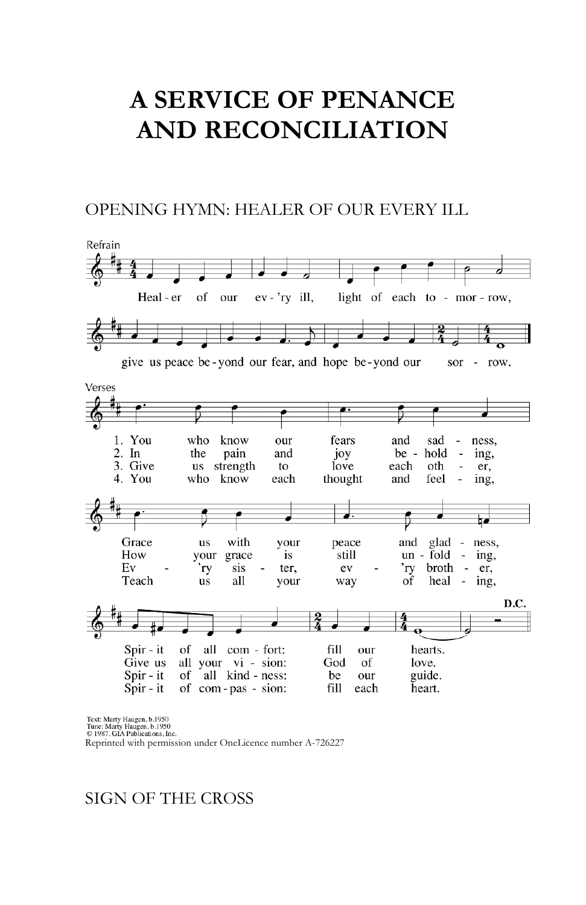# **A SERVICE OF PENANCE AND RECONCILIATION**

#### OPENING HYMN: HEALER OF OUR EVERY ILL



Text: Marty Haugen, b.1950

Tune: Marty Haugen, 0.1556<br>
© 1987, GIA Publications, Inc.

Reprinted with permission under OneLicence number A-726227

#### SIGN OF THE CROSS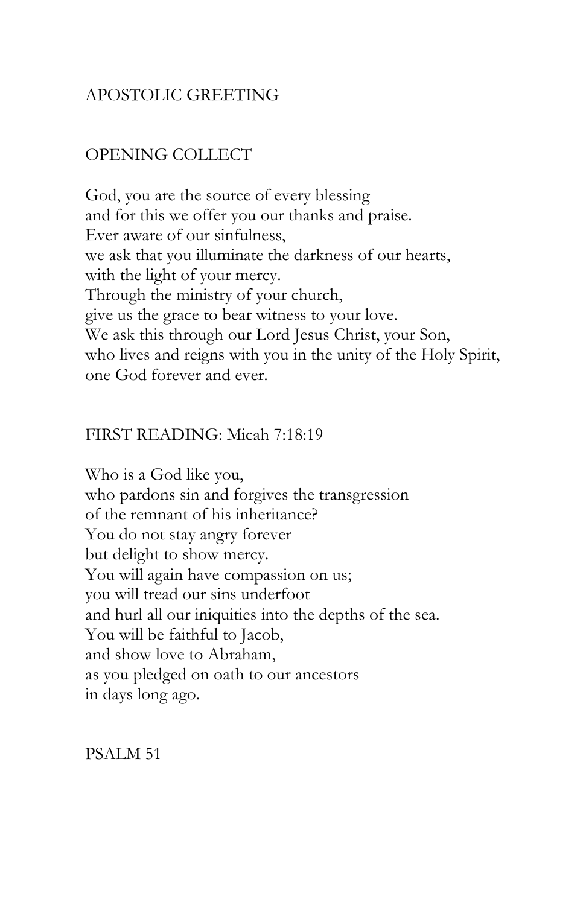## APOSTOLIC GREETING

## OPENING COLLECT

God, you are the source of every blessing and for this we offer you our thanks and praise. Ever aware of our sinfulness, we ask that you illuminate the darkness of our hearts, with the light of your mercy. Through the ministry of your church, give us the grace to bear witness to your love. We ask this through our Lord Jesus Christ, your Son, who lives and reigns with you in the unity of the Holy Spirit, one God forever and ever.

### FIRST READING: Micah 7:18:19

Who is a God like you, who pardons sin and forgives the transgression of the remnant of his inheritance? You do not stay angry forever but delight to show mercy. You will again have compassion on us; you will tread our sins underfoot and hurl all our iniquities into the depths of the sea. You will be faithful to Jacob, and show love to Abraham, as you pledged on oath to our ancestors in days long ago.

PSALM 51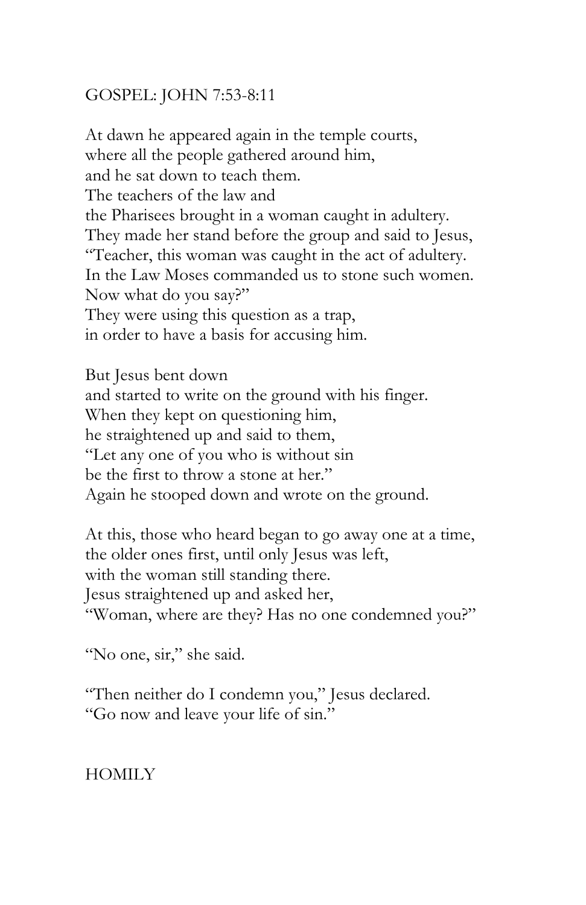## GOSPEL: JOHN 7:53-8:11

At dawn he appeared again in the temple courts, where all the people gathered around him, and he sat down to teach them. The teachers of the law and the Pharisees brought in a woman caught in adultery. They made her stand before the group and said to Jesus, "Teacher, this woman was caught in the act of adultery. In the Law Moses commanded us to stone such women. Now what do you say?" They were using this question as a trap, in order to have a basis for accusing him.

But Jesus bent down and started to write on the ground with his finger. When they kept on questioning him, he straightened up and said to them, "Let any one of you who is without sin be the first to throw a stone at her." Again he stooped down and wrote on the ground.

At this, those who heard began to go away one at a time, the older ones first, until only Jesus was left, with the woman still standing there. Jesus straightened up and asked her, "Woman, where are they? Has no one condemned you?"

"No one, sir," she said.

"Then neither do I condemn you," Jesus declared. "Go now and leave your life of sin."

HOMILY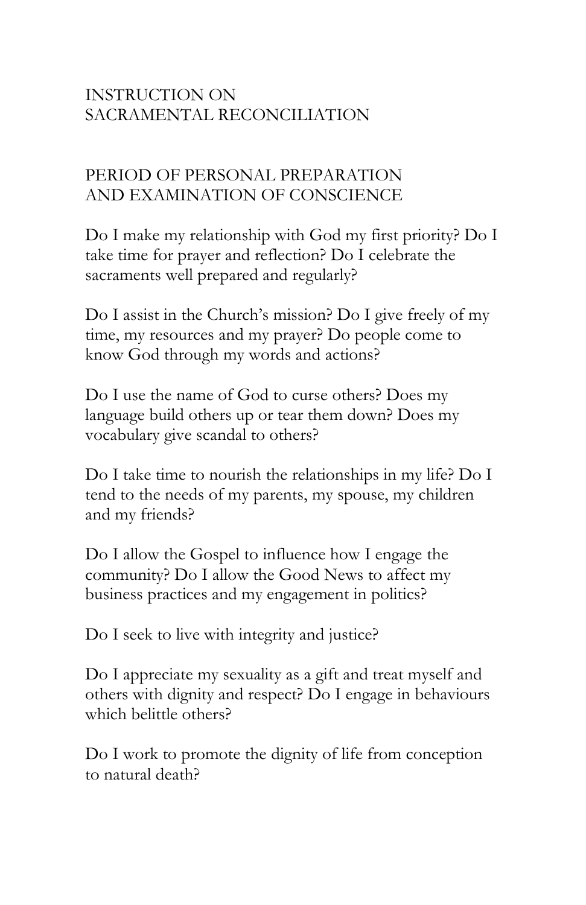# INSTRUCTION ON SACRAMENTAL RECONCILIATION

# PERIOD OF PERSONAL PREPARATION AND EXAMINATION OF CONSCIENCE

Do I make my relationship with God my first priority? Do I take time for prayer and reflection? Do I celebrate the sacraments well prepared and regularly?

Do I assist in the Church's mission? Do I give freely of my time, my resources and my prayer? Do people come to know God through my words and actions?

Do I use the name of God to curse others? Does my language build others up or tear them down? Does my vocabulary give scandal to others?

Do I take time to nourish the relationships in my life? Do I tend to the needs of my parents, my spouse, my children and my friends?

Do I allow the Gospel to influence how I engage the community? Do I allow the Good News to affect my business practices and my engagement in politics?

Do I seek to live with integrity and justice?

Do I appreciate my sexuality as a gift and treat myself and others with dignity and respect? Do I engage in behaviours which belittle others?

Do I work to promote the dignity of life from conception to natural death?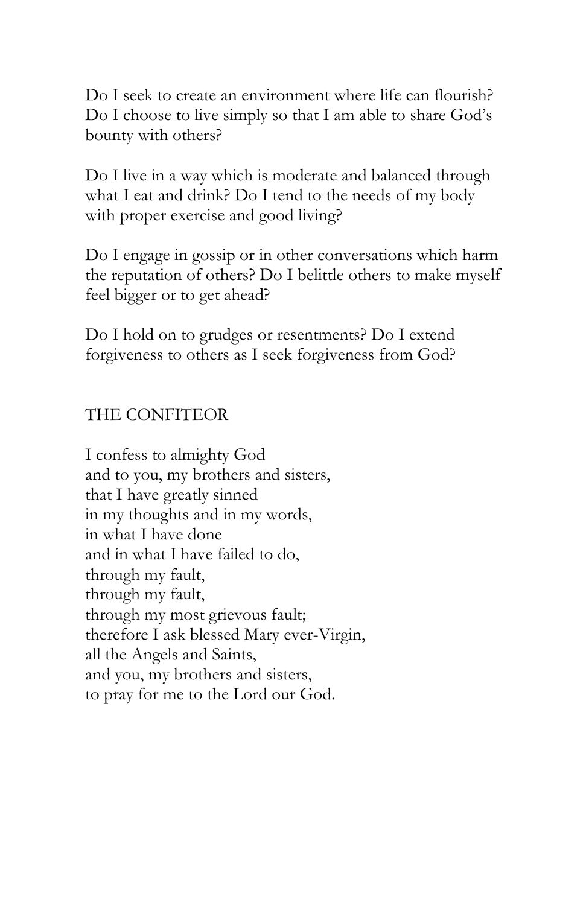Do I seek to create an environment where life can flourish? Do I choose to live simply so that I am able to share God's bounty with others?

Do I live in a way which is moderate and balanced through what I eat and drink? Do I tend to the needs of my body with proper exercise and good living?

Do I engage in gossip or in other conversations which harm the reputation of others? Do I belittle others to make myself feel bigger or to get ahead?

Do I hold on to grudges or resentments? Do I extend forgiveness to others as I seek forgiveness from God?

### THE CONFITEOR

I confess to almighty God and to you, my brothers and sisters, that I have greatly sinned in my thoughts and in my words, in what I have done and in what I have failed to do, through my fault, through my fault, through my most grievous fault; therefore I ask blessed Mary ever-Virgin, all the Angels and Saints, and you, my brothers and sisters, to pray for me to the Lord our God.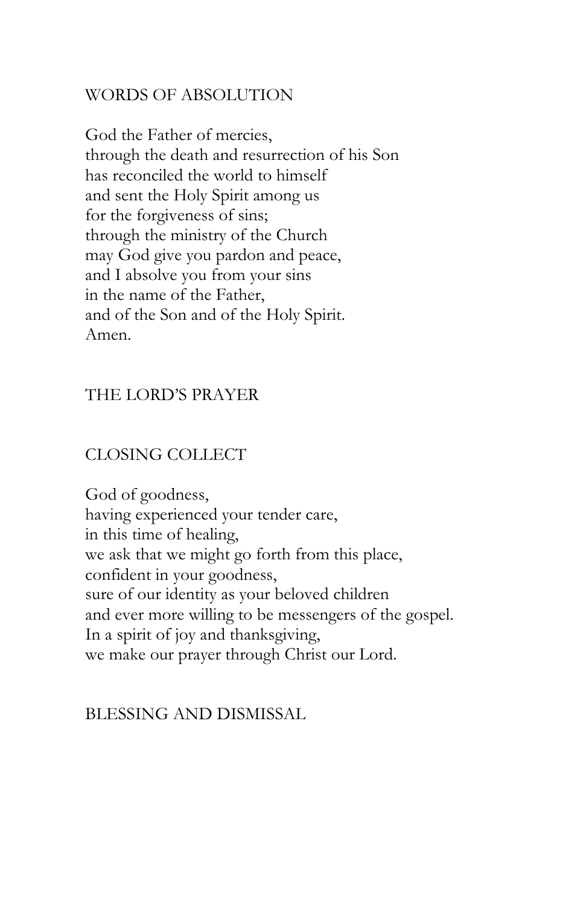## WORDS OF ABSOLUTION

God the Father of mercies, through the death and resurrection of his Son has reconciled the world to himself and sent the Holy Spirit among us for the forgiveness of sins; through the ministry of the Church may God give you pardon and peace, and I absolve you from your sins in the name of the Father, and of the Son and of the Holy Spirit. Amen.

## THE LORD'S PRAYER

## CLOSING COLLECT

God of goodness, having experienced your tender care, in this time of healing, we ask that we might go forth from this place, confident in your goodness, sure of our identity as your beloved children and ever more willing to be messengers of the gospel. In a spirit of joy and thanksgiving, we make our prayer through Christ our Lord.

#### BLESSING AND DISMISSAL